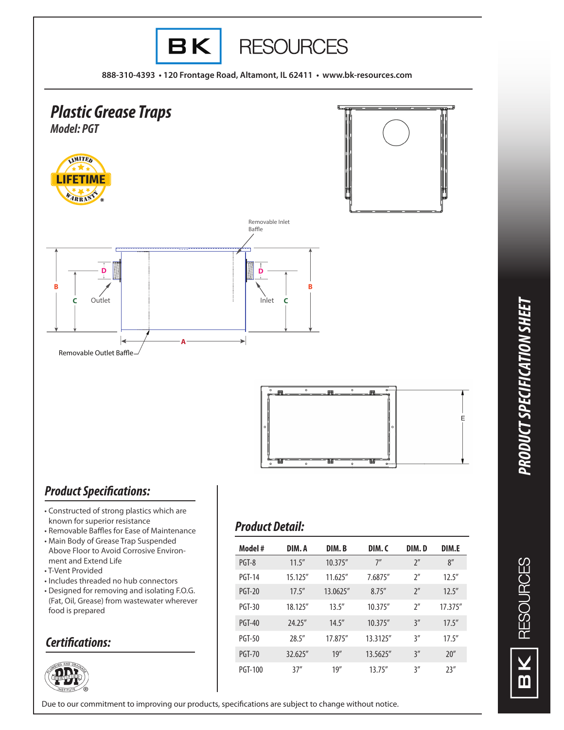

- Constructed of strong plastics which are known for superior resistance
- Removable Baffles for Ease of Maintenance • Main Body of Grease Trap Suspended Above Floor to Avoid Corrosive Environment and Extend Life
- T-Vent Provided
- Includes threaded no hub connectors
- Designed for removing and isolating F.O.G. (Fat, Oil, Grease) from wastewater wherever food is prepared

## *Certifications:*



## *Product Detail:*

| Model #        | DIM.A    | DIM.B    | DIM.C          | DIM.D              | DIM.E   |
|----------------|----------|----------|----------------|--------------------|---------|
| PGT-8          | 11.5''   | 10.375'' | 7 <sup>n</sup> | $2^{\prime\prime}$ | 8''     |
| <b>PGT-14</b>  | 15.125"  | 11.625'' | 7.6875"        | $2^{\prime\prime}$ | 12.5''  |
| PGT-20         | 17.5''   | 13.0625" | 8.75''         | $2^{\prime\prime}$ | 12.5''  |
| PGT-30         | 18.125"  | 13.5''   | 10.375"        | $2^{\prime\prime}$ | 17.375" |
| PGT-40         | 74.75''  | 14.5''   | 10.375''       | 3''                | 17.5''  |
| PGT-50         | 28.5"    | 17.875"  | 13.3125"       | 3''                | 17.5''  |
| <b>PGT-70</b>  | 32.625'' | 19''     | 13.5625"       | 3''                | 20''    |
| <b>PGT-100</b> | 37''     | 19''     | 13.75''        | 3''                | 23''    |

Due to our commitment to improving our products, specifications are subject to change without notice.

*PRODUCT SPECIFICATION SHEET* PRODUCT SPECIFICATION SHEET

**RESOURCES** 

m